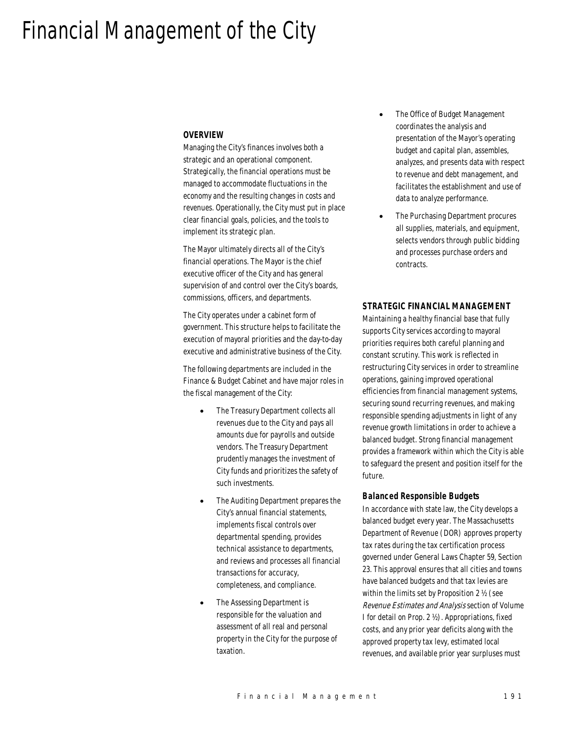# Financial Management of the City

#### *OVERVIEW*

Managing the City's finances involves both a strategic and an operational component. Strategically, the financial operations must be managed to accommodate fluctuations in the economy and the resulting changes in costs and revenues. Operationally, the City must put in place clear financial goals, policies, and the tools to implement its strategic plan.

The Mayor ultimately directs all of the City's financial operations. The Mayor is the chief executive officer of the City and has general supervision of and control over the City's boards, commissions, officers, and departments.

The City operates under a cabinet form of government. This structure helps to facilitate the execution of mayoral priorities and the day-to-day executive and administrative business of the City.

The following departments are included in the Finance & Budget Cabinet and have major roles in the fiscal management of the City:

- The Treasury Department collects all revenues due to the City and pays all amounts due for payrolls and outside vendors. The Treasury Department prudently manages the investment of City funds and prioritizes the safety of such investments.
- The Auditing Department prepares the City's annual financial statements, implements fiscal controls over departmental spending, provides technical assistance to departments, and reviews and processes all financial transactions for accuracy, completeness, and compliance.
- The Assessing Department is responsible for the valuation and assessment of all real and personal property in the City for the purpose of taxation.
- The Office of Budget Management coordinates the analysis and presentation of the Mayor's operating budget and capital plan, assembles, analyzes, and presents data with respect to revenue and debt management, and facilitates the establishment and use of data to analyze performance.
- The Purchasing Department procures all supplies, materials, and equipment, selects vendors through public bidding and processes purchase orders and contracts.

#### *STRATEGIC FINANCIAL MANAGEMENT*

Maintaining a healthy financial base that fully supports City services according to mayoral priorities requires both careful planning and constant scrutiny. This work is reflected in restructuring City services in order to streamline operations, gaining improved operational efficiencies from financial management systems, securing sound recurring revenues, and making responsible spending adjustments in light of any revenue growth limitations in order to achieve a balanced budget. Strong financial management provides a framework within which the City is able to safeguard the present and position itself for the future.

#### *Balanced Responsible Budgets*

In accordance with state law, the City develops a balanced budget every year. The Massachusetts Department of Revenue (DOR) approves property tax rates during the tax certification process governed under General Laws Chapter 59, Section 23. This approval ensures that all cities and towns have balanced budgets and that tax levies are within the limits set by Proposition 2 ½ (see Revenue Estimates and Analysis section of Volume I for detail on Prop. 2 ½). Appropriations, fixed costs, and any prior year deficits along with the approved property tax levy, estimated local revenues, and available prior year surpluses must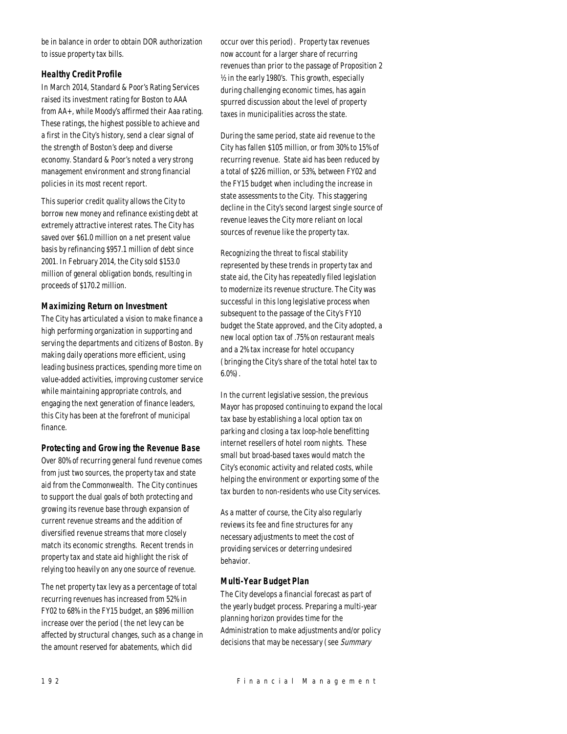be in balance in order to obtain DOR authorization to issue property tax bills.

## *Healthy Credit Profile*

In March 2014, Standard & Poor's Rating Services raised its investment rating for Boston to AAA from AA+, while Moody's affirmed their Aaa rating. These ratings, the highest possible to achieve and a first in the City's history, send a clear signal of the strength of Boston's deep and diverse economy. Standard & Poor's noted a very strong management environment and strong financial policies in its most recent report.

This superior credit quality allows the City to borrow new money and refinance existing debt at extremely attractive interest rates. The City has saved over \$61.0 million on a net present value basis by refinancing \$957.1 million of debt since 2001. In February 2014, the City sold \$153.0 million of general obligation bonds, resulting in proceeds of \$170.2 million.

#### *Maximizing Return on Investment*

The City has articulated a vision to make finance a high performing organization in supporting and serving the departments and citizens of Boston. By making daily operations more efficient, using leading business practices, spending more time on value-added activities, improving customer service while maintaining appropriate controls, and engaging the next generation of finance leaders, this City has been at the forefront of municipal finance.

## *Protecting and Growing the Revenue Base*

Over 80% of recurring general fund revenue comes from just two sources, the property tax and state aid from the Commonwealth. The City continues to support the dual goals of both protecting and growing its revenue base through expansion of current revenue streams and the addition of diversified revenue streams that more closely match its economic strengths. Recent trends in property tax and state aid highlight the risk of relying too heavily on any one source of revenue.

The net property tax levy as a percentage of total recurring revenues has increased from 52% in FY02 to 68% in the FY15 budget, an \$896 million increase over the period (the net levy can be affected by structural changes, such as a change in the amount reserved for abatements, which did

occur over this period). Property tax revenues now account for a larger share of recurring revenues than prior to the passage of Proposition 2 ½ in the early 1980's. This growth, especially during challenging economic times, has again spurred discussion about the level of property taxes in municipalities across the state.

During the same period, state aid revenue to the City has fallen \$105 million, or from 30% to 15% of recurring revenue. State aid has been reduced by a total of \$226 million, or 53%, between FY02 and the FY15 budget when including the increase in state assessments to the City. This staggering decline in the City's second largest single source of revenue leaves the City more reliant on local sources of revenue like the property tax.

Recognizing the threat to fiscal stability represented by these trends in property tax and state aid, the City has repeatedly filed legislation to modernize its revenue structure. The City was successful in this long legislative process when subsequent to the passage of the City's FY10 budget the State approved, and the City adopted, a new local option tax of .75% on restaurant meals and a 2% tax increase for hotel occupancy (bringing the City's share of the total hotel tax to 6.0%).

In the current legislative session, the previous Mayor has proposed continuing to expand the local tax base by establishing a local option tax on parking and closing a tax loop-hole benefitting internet resellers of hotel room nights. These small but broad-based taxes would match the City's economic activity and related costs, while helping the environment or exporting some of the tax burden to non-residents who use City services.

As a matter of course, the City also regularly reviews its fee and fine structures for any necessary adjustments to meet the cost of providing services or deterring undesired behavior.

#### *Multi-Year Budget Plan*

The City develops a financial forecast as part of the yearly budget process. Preparing a multi-year planning horizon provides time for the Administration to make adjustments and/or policy decisions that may be necessary (see Summary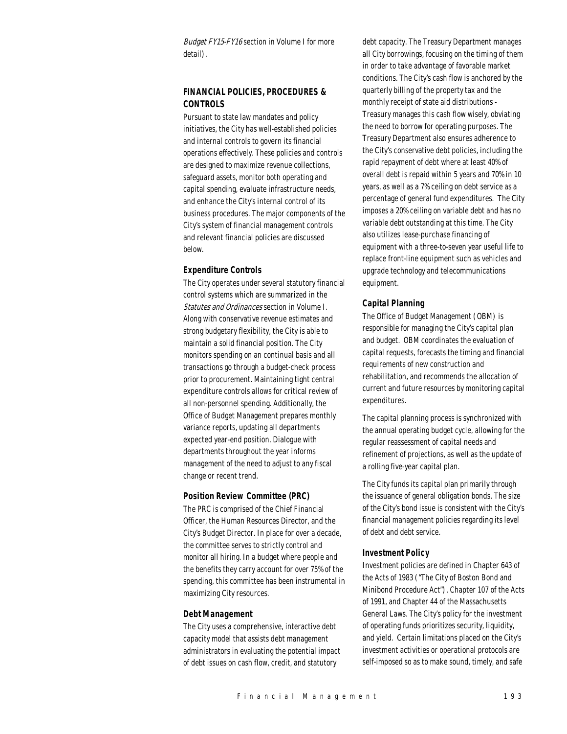Budget FY15-FY16 section in Volume I for more detail).

## *FINANCIAL POLICIES, PROCEDURES & CONTROLS*

Pursuant to state law mandates and policy initiatives, the City has well-established policies and internal controls to govern its financial operations effectively. These policies and controls are designed to maximize revenue collections, safeguard assets, monitor both operating and capital spending, evaluate infrastructure needs, and enhance the City's internal control of its business procedures. The major components of the City's system of financial management controls and relevant financial policies are discussed below.

#### *Expenditure Controls*

The City operates under several statutory financial control systems which are summarized in the Statutes and Ordinances section in Volume I. Along with conservative revenue estimates and strong budgetary flexibility, the City is able to maintain a solid financial position. The City monitors spending on an continual basis and all transactions go through a budget-check process prior to procurement. Maintaining tight central expenditure controls allows for critical review of all non-personnel spending. Additionally, the Office of Budget Management prepares monthly variance reports, updating all departments expected year-end position. Dialogue with departments throughout the year informs management of the need to adjust to any fiscal change or recent trend.

#### *Position Review Committee (PRC)*

The PRC is comprised of the Chief Financial Officer, the Human Resources Director, and the City's Budget Director. In place for over a decade, the committee serves to strictly control and monitor all hiring. In a budget where people and the benefits they carry account for over 75% of the spending, this committee has been instrumental in maximizing City resources.

#### *Debt Management*

The City uses a comprehensive, interactive debt capacity model that assists debt management administrators in evaluating the potential impact of debt issues on cash flow, credit, and statutory

debt capacity. The Treasury Department manages all City borrowings, focusing on the timing of them in order to take advantage of favorable market conditions. The City's cash flow is anchored by the quarterly billing of the property tax and the monthly receipt of state aid distributions - Treasury manages this cash flow wisely, obviating the need to borrow for operating purposes. The Treasury Department also ensures adherence to the City's conservative debt policies, including the rapid repayment of debt where at least 40% of overall debt is repaid within 5 years and 70% in 10 years, as well as a 7% ceiling on debt service as a percentage of general fund expenditures. The City imposes a 20% ceiling on variable debt and has no variable debt outstanding at this time. The City also utilizes lease-purchase financing of equipment with a three-to-seven year useful life to replace front-line equipment such as vehicles and upgrade technology and telecommunications equipment.

#### *Capital Planning*

The Office of Budget Management (OBM) is responsible for managing the City's capital plan and budget. OBM coordinates the evaluation of capital requests, forecasts the timing and financial requirements of new construction and rehabilitation, and recommends the allocation of current and future resources by monitoring capital expenditures.

The capital planning process is synchronized with the annual operating budget cycle, allowing for the regular reassessment of capital needs and refinement of projections, as well as the update of a rolling five-year capital plan.

The City funds its capital plan primarily through the issuance of general obligation bonds. The size of the City's bond issue is consistent with the City's financial management policies regarding its level of debt and debt service.

#### *Investment Policy*

Investment policies are defined in Chapter 643 of the Acts of 1983 ("The City of Boston Bond and Minibond Procedure Act"), Chapter 107 of the Acts of 1991, and Chapter 44 of the Massachusetts General Laws. The City's policy for the investment of operating funds prioritizes security, liquidity, and yield. Certain limitations placed on the City's investment activities or operational protocols are self-imposed so as to make sound, timely, and safe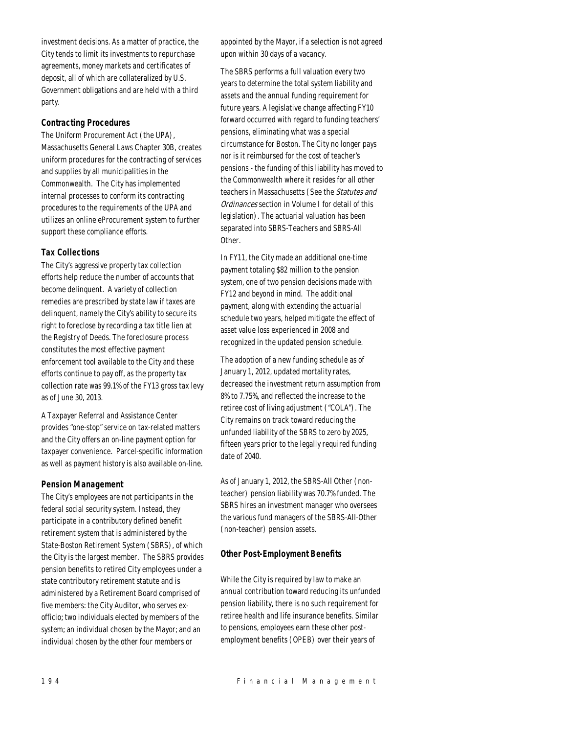investment decisions. As a matter of practice, the City tends to limit its investments to repurchase agreements, money markets and certificates of deposit, all of which are collateralized by U.S. Government obligations and are held with a third party.

## *Contracting Procedures*

The Uniform Procurement Act (the UPA), Massachusetts General Laws Chapter 30B, creates uniform procedures for the contracting of services and supplies by all municipalities in the Commonwealth. The City has implemented internal processes to conform its contracting procedures to the requirements of the UPA and utilizes an online eProcurement system to further support these compliance efforts.

#### *Tax Collections*

The City's aggressive property tax collection efforts help reduce the number of accounts that become delinquent. A variety of collection remedies are prescribed by state law if taxes are delinquent, namely the City's ability to secure its right to foreclose by recording a tax title lien at the Registry of Deeds. The foreclosure process constitutes the most effective payment enforcement tool available to the City and these efforts continue to pay off, as the property tax collection rate was 99.1% of the FY13 gross tax levy as of June 30, 2013.

A Taxpayer Referral and Assistance Center provides "one-stop" service on tax-related matters and the City offers an on-line payment option for taxpayer convenience. Parcel-specific information as well as payment history is also available on-line.

#### *Pension Management*

The City's employees are not participants in the federal social security system. Instead, they participate in a contributory defined benefit retirement system that is administered by the State-Boston Retirement System (SBRS), of which the City is the largest member. The SBRS provides pension benefits to retired City employees under a state contributory retirement statute and is administered by a Retirement Board comprised of five members: the City Auditor, who serves exofficio; two individuals elected by members of the system; an individual chosen by the Mayor; and an individual chosen by the other four members or

appointed by the Mayor, if a selection is not agreed upon within 30 days of a vacancy.

The SBRS performs a full valuation every two years to determine the total system liability and assets and the annual funding requirement for future years. A legislative change affecting FY10 forward occurred with regard to funding teachers' pensions, eliminating what was a special circumstance for Boston. The City no longer pays nor is it reimbursed for the cost of teacher's pensions - the funding of this liability has moved to the Commonwealth where it resides for all other teachers in Massachusetts (See the Statutes and Ordinances section in Volume I for detail of this legislation). The actuarial valuation has been separated into SBRS-Teachers and SBRS-All Other.

In FY11, the City made an additional one-time payment totaling \$82 million to the pension system, one of two pension decisions made with FY12 and beyond in mind. The additional payment, along with extending the actuarial schedule two years, helped mitigate the effect of asset value loss experienced in 2008 and recognized in the updated pension schedule.

The adoption of a new funding schedule as of January 1, 2012, updated mortality rates, decreased the investment return assumption from 8% to 7.75%, and reflected the increase to the retiree cost of living adjustment ("COLA"). The City remains on track toward reducing the unfunded liability of the SBRS to zero by 2025, fifteen years prior to the legally required funding date of 2040.

As of January 1, 2012, the SBRS-All Other (nonteacher) pension liability was 70.7% funded. The SBRS hires an investment manager who oversees the various fund managers of the SBRS-All-Other (non-teacher) pension assets.

## *Other Post-Employment Benefits*

While the City is required by law to make an annual contribution toward reducing its unfunded pension liability, there is no such requirement for retiree health and life insurance benefits. Similar to pensions, employees earn these other postemployment benefits (OPEB) over their years of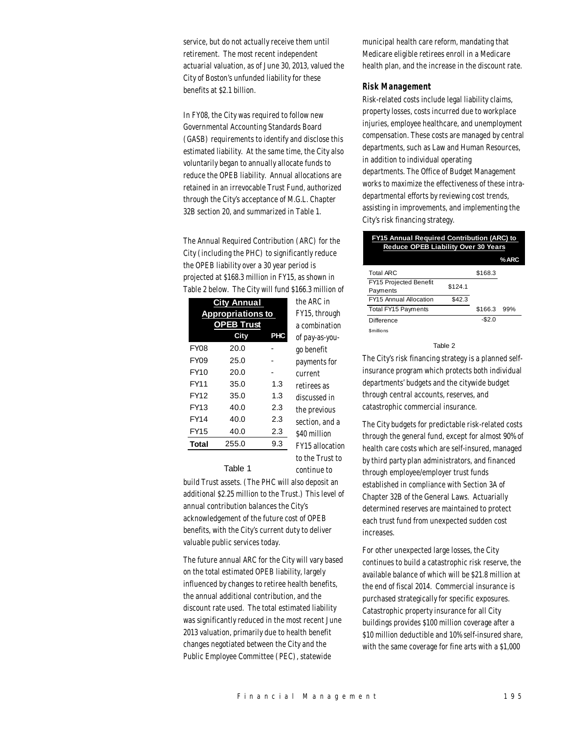service, but do not actually receive them until retirement. The most recent independent actuarial valuation, as of June 30, 2013, valued the City of Boston's unfunded liability for these benefits at \$2.1 billion.

In FY08, the City was required to follow new Governmental Accounting Standards Board (GASB) requirements to identify and disclose this estimated liability. At the same time, the City also voluntarily began to annually allocate funds to reduce the OPEB liability. Annual allocations are retained in an irrevocable Trust Fund, authorized through the City's acceptance of M.G.L. Chapter 32B section 20, and summarized in Table 1.

The Annual Required Contribution (ARC) for the City (including the PHC) to significantly reduce the OPEB liability over a 30 year period is projected at \$168.3 million in FY15, as shown in Table 2 below. The City will fund \$166.3 million of

|                          | <b>City Annual</b> |     | the ARC in     |
|--------------------------|--------------------|-----|----------------|
| <b>Appropriations to</b> |                    |     | FY15, through  |
|                          | <b>EB Trust</b>    |     | a combination  |
|                          | City               | PHC | of pay-as-you- |
| <b>FY08</b>              | 20.0               |     | go benefit     |
| FY09                     | 25.0               |     | payments for   |
| FY10                     | 20.0               |     | current        |
| FY11                     | 35.0               | 1.3 | retirees as    |
| <b>FY12</b>              | 35.0               | 1.3 | discussed in   |
| FY13                     | 40.0               | 2.3 | the previous   |
| <b>FY14</b>              | 40.0               | 2.3 | section, and a |
| <b>FY15</b>              | 40.0               | 2.3 | \$40 million   |
| Total                    | 255.0              | 9.3 | FY15 allocatio |

current etirees as scussed in te previous ection, and a \$40 million FY15 allocation

> to the Trust to continue to

Table 1

build Trust assets. (The PHC will also deposit an additional \$2.25 million to the Trust.) This level of annual contribution balances the City's acknowledgement of the future cost of OPEB benefits, with the City's current duty to deliver valuable public services today.

The future annual ARC for the City will vary based on the total estimated OPEB liability, largely influenced by changes to retiree health benefits, the annual additional contribution, and the discount rate used. The total estimated liability was significantly reduced in the most recent June 2013 valuation, primarily due to health benefit changes negotiated between the City and the Public Employee Committee (PEC), statewide

municipal health care reform, mandating that Medicare eligible retirees enroll in a Medicare health plan, and the increase in the discount rate.

#### *Risk Management*

Risk-related costs include legal liability claims, property losses, costs incurred due to workplace injuries, employee healthcare, and unemployment compensation. These costs are managed by central departments, such as Law and Human Resources, in addition to individual operating departments. The Office of Budget Management works to maximize the effectiveness of these intradepartmental efforts by reviewing cost trends, assisting in improvements, and implementing the City's risk financing strategy.

| <b>FY15 Annual Required Contribution (ARC) to</b><br><b>Reduce OPEB Liability Over 30 Years</b> |         |         |      |  |
|-------------------------------------------------------------------------------------------------|---------|---------|------|--|
|                                                                                                 |         |         | %ARC |  |
| <b>Total ARC</b>                                                                                |         | \$168.3 |      |  |
| FY15 Projected Benefit<br>Payments                                                              | \$124.1 |         |      |  |
| FY15 Annual Allocation                                                                          | \$42.3  |         |      |  |
| Total FY15 Payments                                                                             |         | \$166.3 | 99%  |  |
| Difference                                                                                      |         | $-$2.0$ |      |  |
| <b>Smillions</b>                                                                                |         |         |      |  |

Table 2

The City's risk financing strategy is a planned selfinsurance program which protects both individual departments' budgets and the citywide budget through central accounts, reserves, and catastrophic commercial insurance.

The City budgets for predictable risk-related costs through the general fund, except for almost 90% of health care costs which are self-insured, managed by third party plan administrators, and financed through employee/employer trust funds established in compliance with Section 3A of Chapter 32B of the General Laws. Actuarially determined reserves are maintained to protect each trust fund from unexpected sudden cost increases.

For other unexpected large losses, the City continues to build a catastrophic risk reserve, the available balance of which will be \$21.8 million at the end of fiscal 2014. Commercial insurance is purchased strategically for specific exposures. Catastrophic property insurance for all City buildings provides \$100 million coverage after a \$10 million deductible and 10% self-insured share, with the same coverage for fine arts with a \$1,000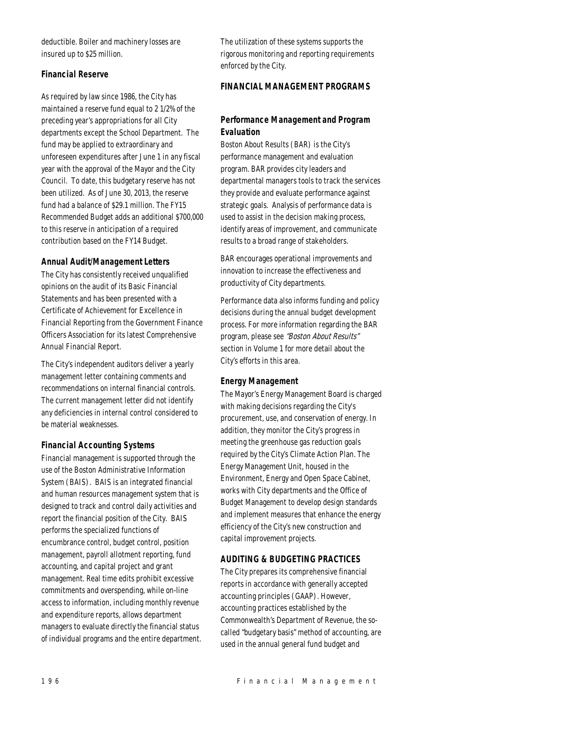deductible. Boiler and machinery losses are insured up to \$25 million.

## *Financial Reserve*

As required by law since 1986, the City has maintained a reserve fund equal to 2 1/2% of the preceding year's appropriations for all City departments except the School Department. The fund may be applied to extraordinary and unforeseen expenditures after June 1 in any fiscal year with the approval of the Mayor and the City Council. To date, this budgetary reserve has not been utilized. As of June 30, 2013, the reserve fund had a balance of \$29.1 million. The FY15 Recommended Budget adds an additional \$700,000 to this reserve in anticipation of a required contribution based on the FY14 Budget.

#### *Annual Audit/Management Letters*

The City has consistently received unqualified opinions on the audit of its Basic Financial Statements and has been presented with a Certificate of Achievement for Excellence in Financial Reporting from the Government Finance Officers Association for its latest Comprehensive Annual Financial Report.

The City's independent auditors deliver a yearly management letter containing comments and recommendations on internal financial controls. The current management letter did not identify any deficiencies in internal control considered to be material weaknesses.

#### *Financial Accounting Systems*

Financial management is supported through the use of the Boston Administrative Information System (BAIS). BAIS is an integrated financial and human resources management system that is designed to track and control daily activities and report the financial position of the City. BAIS performs the specialized functions of encumbrance control, budget control, position management, payroll allotment reporting, fund accounting, and capital project and grant management. Real time edits prohibit excessive commitments and overspending, while on-line access to information, including monthly revenue and expenditure reports, allows department managers to evaluate directly the financial status of individual programs and the entire department. The utilization of these systems supports the rigorous monitoring and reporting requirements enforced by the City.

## *FINANCIAL MANAGEMENT PROGRAMS*

## *Performance Management and Program Evaluation*

Boston About Results (BAR) is the City's performance management and evaluation program. BAR provides city leaders and departmental managers tools to track the services they provide and evaluate performance against strategic goals. Analysis of performance data is used to assist in the decision making process, identify areas of improvement, and communicate results to a broad range of stakeholders.

BAR encourages operational improvements and innovation to increase the effectiveness and productivity of City departments.

Performance data also informs funding and policy decisions during the annual budget development process. For more information regarding the BAR program, please see "Boston About Results" section in Volume 1 for more detail about the City's efforts in this area.

#### *Energy Management*

The Mayor's Energy Management Board is charged with making decisions regarding the City's procurement, use, and conservation of energy. In addition, they monitor the City's progress in meeting the greenhouse gas reduction goals required by the City's Climate Action Plan. The Energy Management Unit, housed in the Environment, Energy and Open Space Cabinet, works with City departments and the Office of Budget Management to develop design standards and implement measures that enhance the energy efficiency of the City's new construction and capital improvement projects.

## *AUDITING & BUDGETING PRACTICES*

The City prepares its comprehensive financial reports in accordance with generally accepted accounting principles (GAAP). However, accounting practices established by the Commonwealth's Department of Revenue, the socalled "budgetary basis" method of accounting, are used in the annual general fund budget and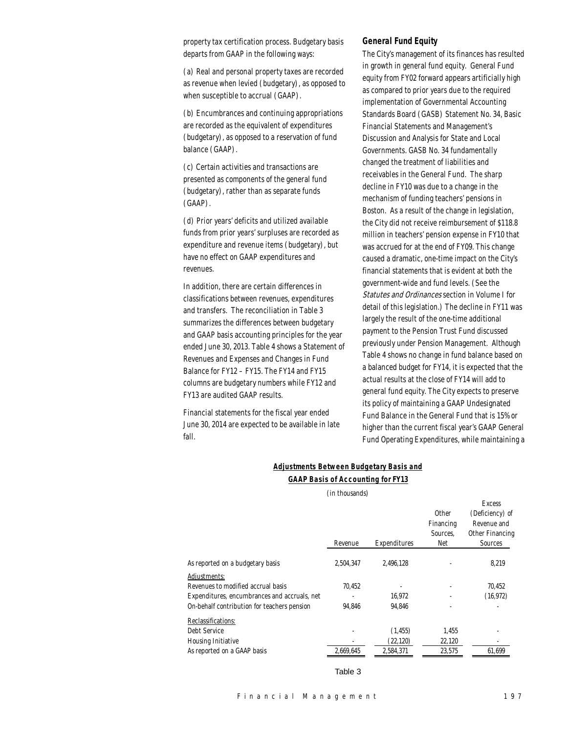property tax certification process. Budgetary basis departs from GAAP in the following ways:

(a) Real and personal property taxes are recorded as revenue when levied (budgetary), as opposed to when susceptible to accrual (GAAP).

(b) Encumbrances and continuing appropriations are recorded as the equivalent of expenditures (budgetary), as opposed to a reservation of fund balance (GAAP).

(c) Certain activities and transactions are presented as components of the general fund (budgetary), rather than as separate funds (GAAP).

(d) Prior years' deficits and utilized available funds from prior years' surpluses are recorded as expenditure and revenue items (budgetary), but have no effect on GAAP expenditures and revenues.

In addition, there are certain differences in classifications between revenues, expenditures and transfers. The reconciliation in Table 3 summarizes the differences between budgetary and GAAP basis accounting principles for the year ended June 30, 2013. Table 4 shows a Statement of Revenues and Expenses and Changes in Fund Balance for FY12 – FY15. The FY14 and FY15 columns are budgetary numbers while FY12 and FY13 are audited GAAP results.

Financial statements for the fiscal year ended June 30, 2014 are expected to be available in late fall.

#### *General Fund Equity*

The City's management of its finances has resulted in growth in general fund equity. General Fund equity from FY02 forward appears artificially high as compared to prior years due to the required implementation of Governmental Accounting Standards Board (GASB) Statement No. 34, Basic Financial Statements and Management's Discussion and Analysis for State and Local Governments. GASB No. 34 fundamentally changed the treatment of liabilities and receivables in the General Fund. The sharp decline in FY10 was due to a change in the mechanism of funding teachers' pensions in Boston. As a result of the change in legislation, the City did not receive reimbursement of \$118.8 million in teachers' pension expense in FY10 that was accrued for at the end of FY09. This change caused a dramatic, one-time impact on the City's financial statements that is evident at both the government-wide and fund levels. (See the Statutes and Ordinances section in Volume I for detail of this legislation.) The decline in FY11 was largely the result of the one-time additional payment to the Pension Trust Fund discussed previously under Pension Management. Although Table 4 shows no change in fund balance based on a balanced budget for FY14, it is expected that the actual results at the close of FY14 will add to general fund equity. The City expects to preserve its policy of maintaining a GAAP Undesignated Fund Balance in the General Fund that is 15% or higher than the current fiscal year's GAAP General Fund Operating Expenditures, while maintaining a

#### *Adjustments Between Budgetary Basis and*

#### *GAAP Basis of Accounting for FY13*

(in thousands)

|                                              |           |              |              | <b>Excess</b>   |
|----------------------------------------------|-----------|--------------|--------------|-----------------|
|                                              |           |              | <b>Other</b> | (Deficiency) of |
|                                              |           |              | Financing    | Revenue and     |
|                                              |           |              | Sources.     | Other Financing |
|                                              | Revenue   | Expenditures | Net          | Sources         |
| As reported on a budgetary basis             | 2,504,347 | 2,496,128    |              | 8,219           |
| Adjustments:                                 |           |              |              |                 |
| Revenues to modified accrual basis           | 70.452    |              |              | 70.452          |
| Expenditures, encumbrances and accruals, net |           | 16.972       |              | (16, 972)       |
| On-behalf contribution for teachers pension  | 94.846    | 94.846       |              |                 |
| Reclassifications:                           |           |              |              |                 |
| Debt Service                                 |           | (1, 455)     | 1,455        |                 |
| <b>Housing Initiative</b>                    |           | (22, 120)    | 22,120       |                 |
| As reported on a GAAP basis                  | 2.669.645 | 2,584,371    | 23,575       | 61.699          |

Table 3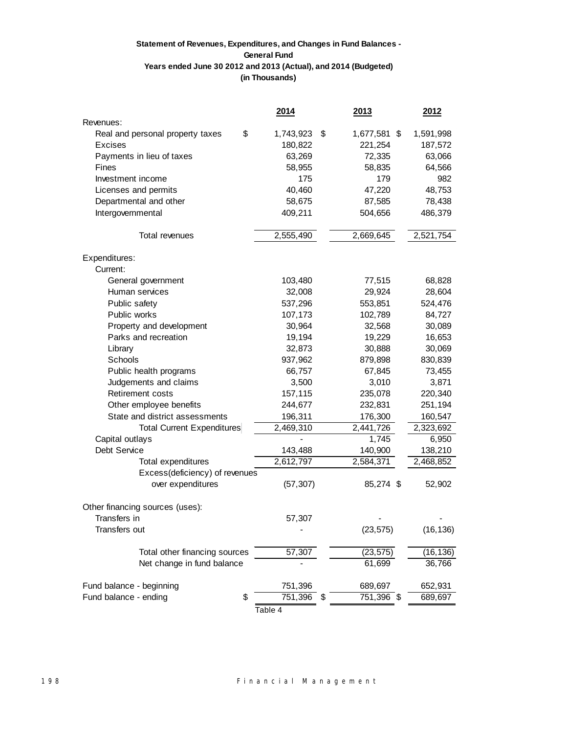## **(in Thousands) Statement of Revenues, Expenditures, and Changes in Fund Balances - General Fund Years ended June 30 2012 and 2013 (Actual), and 2014 (Budgeted)**

|                                  | 2014            | 2013               | 2012          |
|----------------------------------|-----------------|--------------------|---------------|
| Revenues:                        |                 |                    |               |
| Real and personal property taxes | \$<br>1,743,923 | 1,677,581 \$<br>\$ | 1,591,998     |
| <b>Excises</b>                   | 180,822         | 221,254            | 187,572       |
| Payments in lieu of taxes        | 63,269          | 72,335             | 63,066        |
| Fines                            | 58,955          | 58,835             | 64,566        |
| Investment income                | 175             | 179                | 982           |
| Licenses and permits             | 40,460          | 47,220             | 48,753        |
| Departmental and other           | 58,675          | 87,585             | 78,438        |
| Intergovernmental                | 409,211         | 504,656            | 486,379       |
| Total revenues                   | 2,555,490       | 2,669,645          | 2,521,754     |
| Expenditures:                    |                 |                    |               |
| Current:                         |                 |                    |               |
| General government               | 103,480         | 77,515             | 68,828        |
| Human services                   | 32,008          | 29,924             | 28,604        |
| Public safety                    | 537,296         | 553,851            | 524,476       |
| Public works                     | 107,173         | 102,789            | 84,727        |
| Property and development         | 30,964          | 32,568             | 30,089        |
| Parks and recreation             | 19,194          | 19,229             | 16,653        |
| Library                          | 32,873          | 30,888             | 30,069        |
| Schools                          | 937,962         | 879,898            | 830,839       |
| Public health programs           | 66,757          | 67,845             | 73,455        |
| Judgements and claims            | 3,500           | 3,010              | 3,871         |
| Retirement costs                 | 157,115         | 235,078            | 220,340       |
| Other employee benefits          | 244,677         | 232,831            | 251,194       |
| State and district assessments   | 196,311         | 176,300            | 160,547       |
| Total Current Expenditures       | 2,469,310       | 2,441,726          | 2,323,692     |
| Capital outlays                  |                 | 1,745              | 6,950         |
| Debt Service                     | 143,488         | 140,900            | 138,210       |
| <b>Total expenditures</b>        | 2,612,797       | 2,584,371          | 2,468,852     |
| Excess(deficiency) of revenues   |                 |                    |               |
| over expenditures                | (57, 307)       | 85,274 \$          | 52,902        |
| Other financing sources (uses):  |                 |                    |               |
| Transfers in                     | 57,307          |                    |               |
| Transfers out                    |                 | (23, 575)          | (16, 136)     |
| Total other financing sources    | 57,307          | (23, 575)          | (16,136)      |
| Net change in fund balance       |                 | 61,699             | 36,766        |
| Fund balance - beginning         | 751,396         | 689,697            | 652,931       |
| Fund balance - ending            | \$<br>751,396   | 751,396<br>\$      | 689,697<br>\$ |
|                                  | Table 4         |                    |               |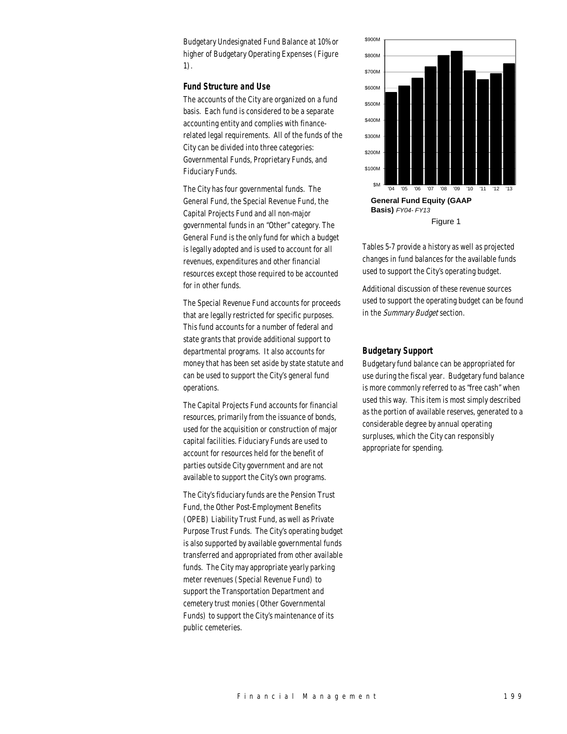Budgetary Undesignated Fund Balance at 10% or higher of Budgetary Operating Expenses (Figure 1).

#### *Fund Structure and Use*

The accounts of the City are organized on a fund basis. Each fund is considered to be a separate accounting entity and complies with financerelated legal requirements. All of the funds of the City can be divided into three categories: Governmental Funds, Proprietary Funds, and Fiduciary Funds.

The City has four governmental funds. The General Fund, the Special Revenue Fund, the Capital Projects Fund and all non-major governmental funds in an "Other" category. The General Fund is the only fund for which a budget is legally adopted and is used to account for all revenues, expenditures and other financial resources except those required to be accounted for in other funds.

The Special Revenue Fund accounts for proceeds that are legally restricted for specific purposes. This fund accounts for a number of federal and state grants that provide additional support to departmental programs. It also accounts for money that has been set aside by state statute and can be used to support the City's general fund operations.

The Capital Projects Fund accounts for financial resources, primarily from the issuance of bonds, used for the acquisition or construction of major capital facilities. Fiduciary Funds are used to account for resources held for the benefit of parties outside City government and are not available to support the City's own programs.

The City's fiduciary funds are the Pension Trust Fund, the Other Post-Employment Benefits (OPEB) Liability Trust Fund, as well as Private Purpose Trust Funds. The City's operating budget is also supported by available governmental funds transferred and appropriated from other available funds. The City may appropriate yearly parking meter revenues (Special Revenue Fund) to support the Transportation Department and cemetery trust monies (Other Governmental Funds) to support the City's maintenance of its public cemeteries.



Tables 5-7 provide a history as well as projected changes in fund balances for the available funds used to support the City's operating budget.

Additional discussion of these revenue sources used to support the operating budget can be found in the Summary Budget section.

#### *Budgetary Support*

Budgetary fund balance can be appropriated for use during the fiscal year. Budgetary fund balance is more commonly referred to as "free cash" when used this way. This item is most simply described as the portion of available reserves, generated to a considerable degree by annual operating surpluses, which the City can responsibly appropriate for spending.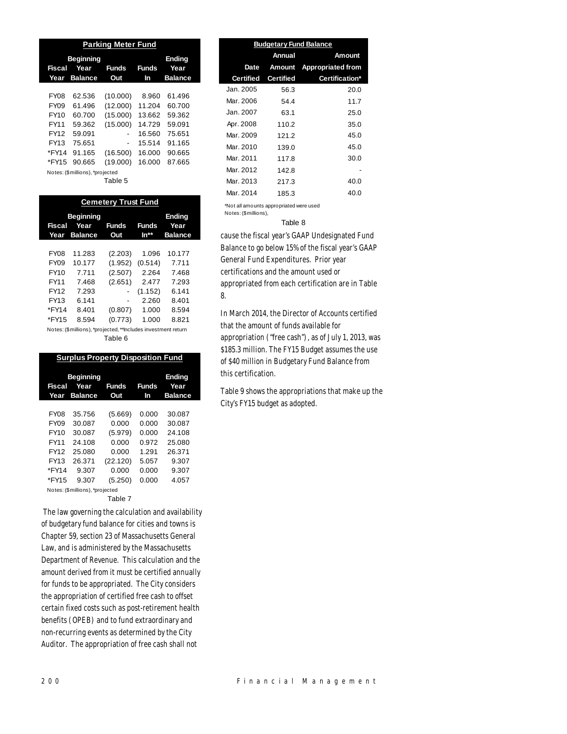| <b>Parking Meter Fund</b>     |                        |                     |                    |                |  |
|-------------------------------|------------------------|---------------------|--------------------|----------------|--|
| <b>Beginning</b><br>Fiscal    | <b>Ending</b><br>Year  |                     |                    |                |  |
| Year                          | Year<br><b>Balance</b> | <b>Funds</b><br>Out | <b>Funds</b><br>In | <b>Balance</b> |  |
|                               |                        |                     |                    |                |  |
| <b>FY08</b>                   | 62.536                 | (10.000)            | 8.960              | 61.496         |  |
| FY09                          | 61.496                 | (12.000)            | 11.204             | 60.700         |  |
| FY10                          | 60.700                 | (15.000)            | 13.662             | 59.362         |  |
| FY11                          | 59.362                 | (15.000)            | 14.729             | 59.091         |  |
| FY12                          | 59.091                 | ٠                   | 16.560             | 75.651         |  |
| FY13                          | 75.651                 | $\overline{a}$      | 15.514             | 91.165         |  |
| *FY14                         | 91.165                 | (16.500)            | 16.000             | 90.665         |  |
| *FY15                         | 90.665                 | (19.000)            | 16.000             | 87.665         |  |
| Notco: (Cmilliano) *projected |                        |                     |                    |                |  |

tes: (\$ millions), \*p <sub>սյեսես</sub><br>Tahle 5

| × | ιαυισ |  |
|---|-------|--|
|   |       |  |

| <b>Cemetery Trust Fund</b> |                                                               |                     |                      |                        |  |  |
|----------------------------|---------------------------------------------------------------|---------------------|----------------------|------------------------|--|--|
|                            | <b>Beginning</b>                                              |                     |                      | <b>Ending</b>          |  |  |
| Fiscal<br>Year             | Year<br><b>Balance</b>                                        | <b>Funds</b><br>Out | <b>Funds</b><br>In** | Year<br><b>Balance</b> |  |  |
|                            |                                                               |                     |                      |                        |  |  |
| <b>FY08</b>                | 11.283                                                        | (2.203)             | 1.096                | 10.177                 |  |  |
| FY09                       | 10.177                                                        | (1.952)             | (0.514)              | 7.711                  |  |  |
| FY10                       | 7.711                                                         | (2.507)             | 2.264                | 7.468                  |  |  |
| FY11                       | 7.468                                                         | (2.651)             | 2.477                | 7.293                  |  |  |
| FY12                       | 7.293                                                         |                     | (1.152)              | 6.141                  |  |  |
| FY13                       | 6.141                                                         | -                   | 2.260                | 8.401                  |  |  |
| *FY14                      | 8.401                                                         | (0.807)             | 1.000                | 8.594                  |  |  |
| *FY15                      | 8.594                                                         | (0.773)             | 1.000                | 8.821                  |  |  |
|                            | Notes: (\$millions), *projected, **Includes investment return |                     |                      |                        |  |  |

#### Table 6

| <b>Surplus Property Disposition Fund</b> |                                            |              |                    |                                         |  |
|------------------------------------------|--------------------------------------------|--------------|--------------------|-----------------------------------------|--|
| Fiscal<br>Year                           | <b>Beginning</b><br>Year<br><b>Balance</b> | Funds<br>Out | <b>Funds</b><br>In | <b>Ending</b><br>Year<br><b>Balance</b> |  |
|                                          |                                            |              |                    |                                         |  |
| <b>FY08</b>                              | 35.756                                     | (5.669)      | 0.000              | 30.087                                  |  |
| FY09                                     | 30.087                                     | 0.000        | 0.000              | 30.087                                  |  |
| FY10                                     | 30.087                                     | (5.979)      | 0.000              | 24.108                                  |  |
| FY11                                     | 24.108                                     | 0.000        | 0.972              | 25.080                                  |  |
| FY12                                     | 25.080                                     | 0.000        | 1.291              | 26.371                                  |  |
| FY13                                     | 26.371                                     | (22.120)     | 5.057              | 9.307                                   |  |
| *FY14                                    | 9.307                                      | 0.000        | 0.000              | 9.307                                   |  |
| *FY15                                    | 9.307                                      | (5.250)      | 0.000              | 4.057                                   |  |
|                                          | Notes: (\$millions), *projected            |              |                    |                                         |  |
|                                          |                                            | Table 7      |                    |                                         |  |

 The law governing the calculation and availability of budgetary fund balance for cities and towns is Chapter 59, section 23 of Massachusetts General Law, and is administered by the Massachusetts Department of Revenue. This calculation and the amount derived from it must be certified annually for funds to be appropriated. The City considers the appropriation of certified free cash to offset certain fixed costs such as post-retirement health benefits (OPEB) and to fund extraordinary and non-recurring events as determined by the City Auditor. The appropriation of free cash shall not

| <b>Budgetary Fund Balance</b> |                  |                          |  |  |  |
|-------------------------------|------------------|--------------------------|--|--|--|
|                               | Annual           | Amount                   |  |  |  |
| Date                          |                  | Amount Appropriated from |  |  |  |
| <b>Certified</b>              | <b>Certified</b> | Certification*           |  |  |  |
| Jan. 2005                     | 56.3             | 20.0                     |  |  |  |
| Mar. 2006                     | 54.4             | 11.7                     |  |  |  |
| Jan. 2007                     | 63.1             | 25.0                     |  |  |  |
| Apr. 2008                     | 110.2            | 35.0                     |  |  |  |
| Mar. 2009                     | 121.2            | 45.0                     |  |  |  |
| Mar. 2010                     | 139.0            | 45.0                     |  |  |  |
| Mar. 2011                     | 117.8            | 30.0                     |  |  |  |
| Mar. 2012                     | 142.8            |                          |  |  |  |
| Mar. 2013                     | 217.3            | 40.0                     |  |  |  |
| Mar. 2014                     | 185.3            | 40.0                     |  |  |  |

\*Not all amounts appropriated were used Notes: (\$millions),

#### Table 8

cause the fiscal year's GAAP Undesignated Fund Balance to go below 15% of the fiscal year's GAAP General Fund Expenditures. Prior year certifications and the amount used or appropriated from each certification are in Table 8.

In March 2014, the Director of Accounts certified that the amount of funds available for appropriation ("free cash"), as of July 1, 2013, was \$185.3 million. The FY15 Budget assumes the use of \$40 million in Budgetary Fund Balance from this certification.

Table 9 shows the appropriations that make up the City's FY15 budget as adopted.